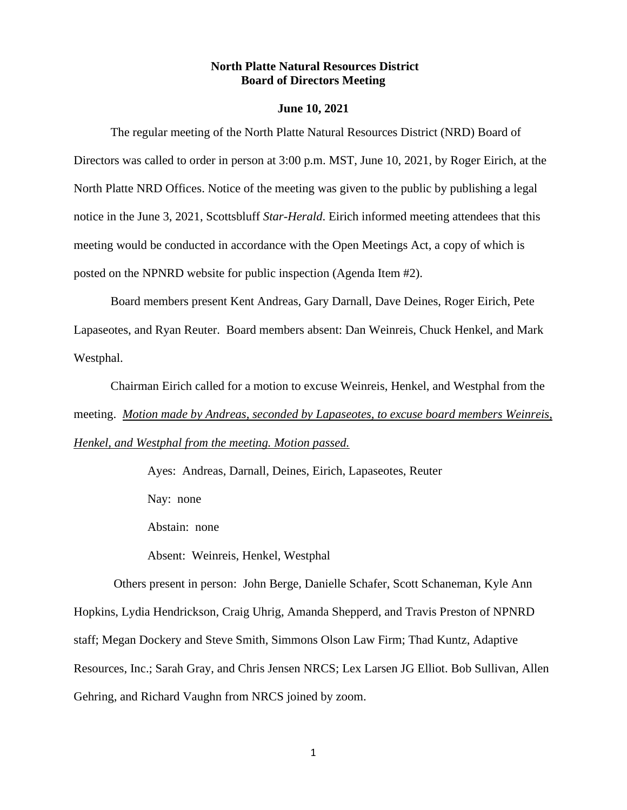## **North Platte Natural Resources District Board of Directors Meeting**

### **June 10, 2021**

The regular meeting of the North Platte Natural Resources District (NRD) Board of Directors was called to order in person at 3:00 p.m. MST, June 10, 2021, by Roger Eirich, at the North Platte NRD Offices. Notice of the meeting was given to the public by publishing a legal notice in the June 3, 2021, Scottsbluff *Star-Herald*. Eirich informed meeting attendees that this meeting would be conducted in accordance with the Open Meetings Act, a copy of which is posted on the NPNRD website for public inspection (Agenda Item #2).

Board members present Kent Andreas, Gary Darnall, Dave Deines, Roger Eirich, Pete Lapaseotes, and Ryan Reuter. Board members absent: Dan Weinreis, Chuck Henkel, and Mark Westphal.

Chairman Eirich called for a motion to excuse Weinreis, Henkel, and Westphal from the meeting. *Motion made by Andreas, seconded by Lapaseotes, to excuse board members Weinreis, Henkel, and Westphal from the meeting. Motion passed.*

Ayes: Andreas, Darnall, Deines, Eirich, Lapaseotes, Reuter

Nay: none

Abstain: none

Absent: Weinreis, Henkel, Westphal

Others present in person: John Berge, Danielle Schafer, Scott Schaneman, Kyle Ann Hopkins, Lydia Hendrickson, Craig Uhrig, Amanda Shepperd, and Travis Preston of NPNRD staff; Megan Dockery and Steve Smith, Simmons Olson Law Firm; Thad Kuntz, Adaptive Resources, Inc.; Sarah Gray, and Chris Jensen NRCS; Lex Larsen JG Elliot. Bob Sullivan, Allen Gehring, and Richard Vaughn from NRCS joined by zoom.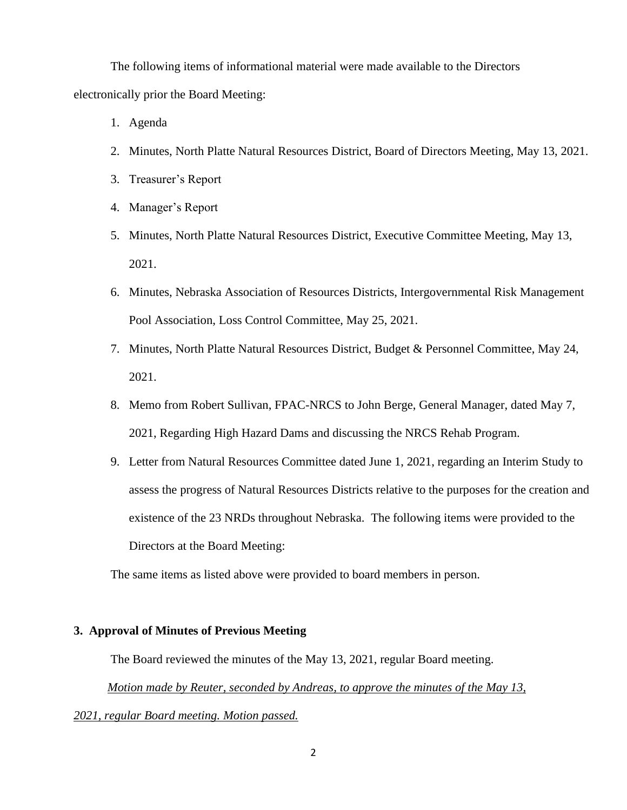The following items of informational material were made available to the Directors electronically prior the Board Meeting:

- 1. Agenda
- 2. Minutes, North Platte Natural Resources District, Board of Directors Meeting, May 13, 2021.
- 3. Treasurer's Report
- 4. Manager's Report
- 5. Minutes, North Platte Natural Resources District, Executive Committee Meeting, May 13, 2021.
- 6. Minutes, Nebraska Association of Resources Districts, Intergovernmental Risk Management Pool Association, Loss Control Committee, May 25, 2021.
- 7. Minutes, North Platte Natural Resources District, Budget & Personnel Committee, May 24, 2021.
- 8. Memo from Robert Sullivan, FPAC-NRCS to John Berge, General Manager, dated May 7, 2021, Regarding High Hazard Dams and discussing the NRCS Rehab Program.
- 9. Letter from Natural Resources Committee dated June 1, 2021, regarding an Interim Study to assess the progress of Natural Resources Districts relative to the purposes for the creation and existence of the 23 NRDs throughout Nebraska. The following items were provided to the Directors at the Board Meeting:

The same items as listed above were provided to board members in person.

### **3. Approval of Minutes of Previous Meeting**

The Board reviewed the minutes of the May 13, 2021, regular Board meeting.

 *Motion made by Reuter, seconded by Andreas, to approve the minutes of the May 13,* 

# *2021, regular Board meeting. Motion passed.*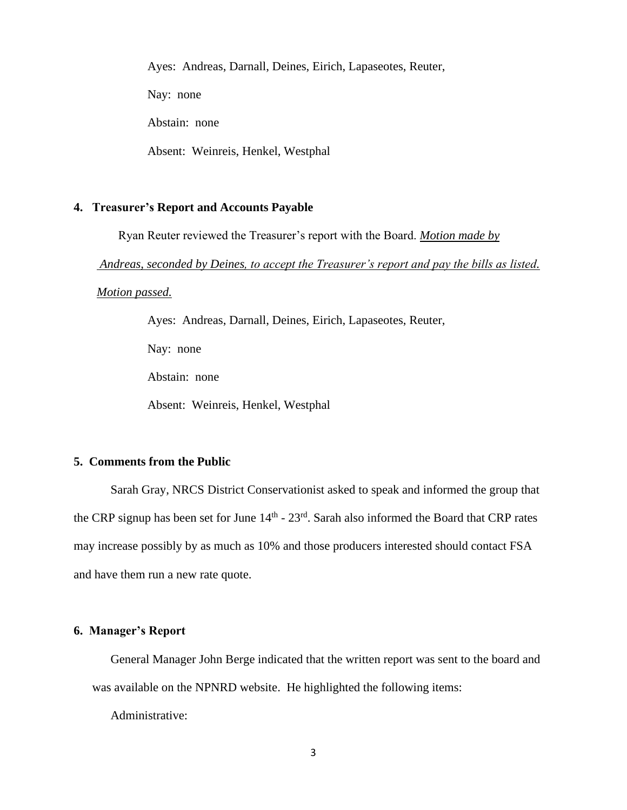Ayes: Andreas, Darnall, Deines, Eirich, Lapaseotes, Reuter,

Nay: none

Abstain: none

Absent: Weinreis, Henkel, Westphal

### **4. Treasurer's Report and Accounts Payable**

Ryan Reuter reviewed the Treasurer's report with the Board. *Motion made by* 

*Andreas, seconded by Deines, to accept the Treasurer's report and pay the bills as listed.* 

*Motion passed.*

Ayes: Andreas, Darnall, Deines, Eirich, Lapaseotes, Reuter,

Nay: none

Abstain: none

Absent: Weinreis, Henkel, Westphal

# **5. Comments from the Public**

Sarah Gray, NRCS District Conservationist asked to speak and informed the group that the CRP signup has been set for June  $14<sup>th</sup> - 23<sup>rd</sup>$ . Sarah also informed the Board that CRP rates may increase possibly by as much as 10% and those producers interested should contact FSA and have them run a new rate quote.

# **6. Manager's Report**

General Manager John Berge indicated that the written report was sent to the board and was available on the NPNRD website. He highlighted the following items:

Administrative: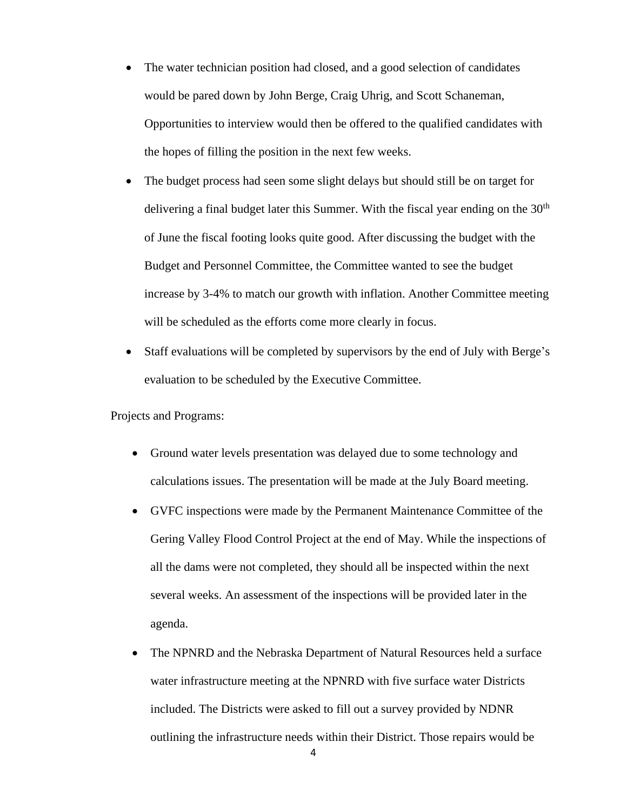- The water technician position had closed, and a good selection of candidates would be pared down by John Berge, Craig Uhrig, and Scott Schaneman, Opportunities to interview would then be offered to the qualified candidates with the hopes of filling the position in the next few weeks.
- The budget process had seen some slight delays but should still be on target for delivering a final budget later this Summer. With the fiscal year ending on the  $30<sup>th</sup>$ of June the fiscal footing looks quite good. After discussing the budget with the Budget and Personnel Committee, the Committee wanted to see the budget increase by 3-4% to match our growth with inflation. Another Committee meeting will be scheduled as the efforts come more clearly in focus.
- Staff evaluations will be completed by supervisors by the end of July with Berge's evaluation to be scheduled by the Executive Committee.

Projects and Programs:

- Ground water levels presentation was delayed due to some technology and calculations issues. The presentation will be made at the July Board meeting.
- GVFC inspections were made by the Permanent Maintenance Committee of the Gering Valley Flood Control Project at the end of May. While the inspections of all the dams were not completed, they should all be inspected within the next several weeks. An assessment of the inspections will be provided later in the agenda.
- The NPNRD and the Nebraska Department of Natural Resources held a surface water infrastructure meeting at the NPNRD with five surface water Districts included. The Districts were asked to fill out a survey provided by NDNR outlining the infrastructure needs within their District. Those repairs would be

4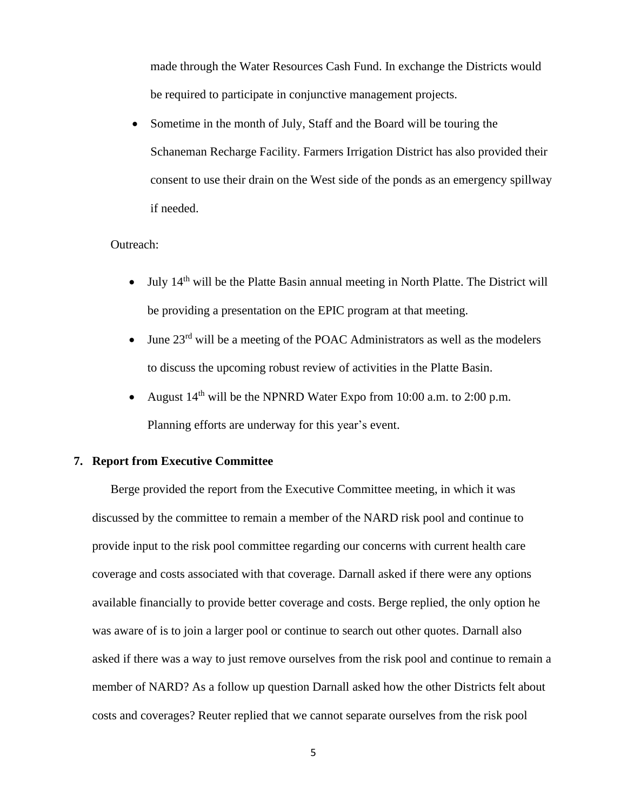made through the Water Resources Cash Fund. In exchange the Districts would be required to participate in conjunctive management projects.

Sometime in the month of July, Staff and the Board will be touring the Schaneman Recharge Facility. Farmers Irrigation District has also provided their consent to use their drain on the West side of the ponds as an emergency spillway if needed.

# Outreach:

- July  $14<sup>th</sup>$  will be the Platte Basin annual meeting in North Platte. The District will be providing a presentation on the EPIC program at that meeting.
- June  $23^{rd}$  will be a meeting of the POAC Administrators as well as the modelers to discuss the upcoming robust review of activities in the Platte Basin.
- August  $14<sup>th</sup>$  will be the NPNRD Water Expo from 10:00 a.m. to 2:00 p.m. Planning efforts are underway for this year's event.

# **7. Report from Executive Committee**

Berge provided the report from the Executive Committee meeting, in which it was discussed by the committee to remain a member of the NARD risk pool and continue to provide input to the risk pool committee regarding our concerns with current health care coverage and costs associated with that coverage. Darnall asked if there were any options available financially to provide better coverage and costs. Berge replied, the only option he was aware of is to join a larger pool or continue to search out other quotes. Darnall also asked if there was a way to just remove ourselves from the risk pool and continue to remain a member of NARD? As a follow up question Darnall asked how the other Districts felt about costs and coverages? Reuter replied that we cannot separate ourselves from the risk pool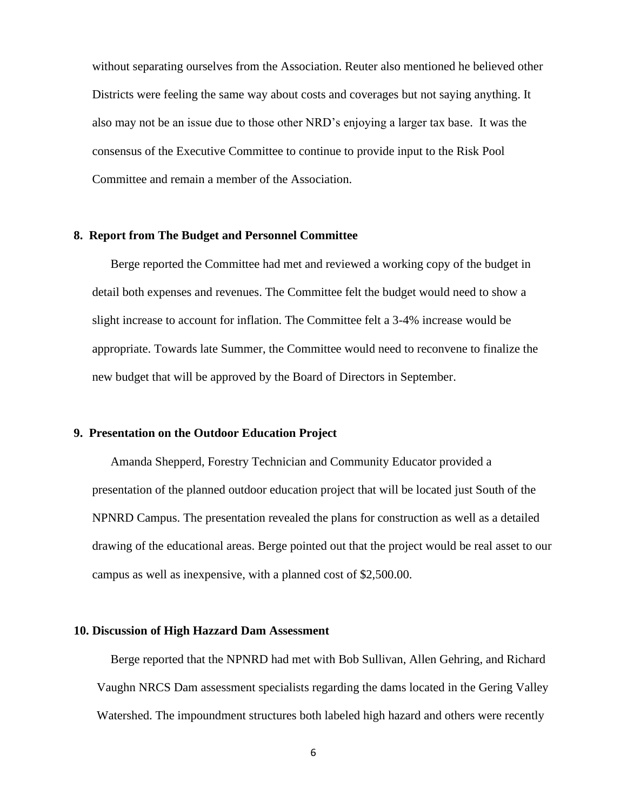without separating ourselves from the Association. Reuter also mentioned he believed other Districts were feeling the same way about costs and coverages but not saying anything. It also may not be an issue due to those other NRD's enjoying a larger tax base. It was the consensus of the Executive Committee to continue to provide input to the Risk Pool Committee and remain a member of the Association.

# **8. Report from The Budget and Personnel Committee**

Berge reported the Committee had met and reviewed a working copy of the budget in detail both expenses and revenues. The Committee felt the budget would need to show a slight increase to account for inflation. The Committee felt a 3-4% increase would be appropriate. Towards late Summer, the Committee would need to reconvene to finalize the new budget that will be approved by the Board of Directors in September.

## **9. Presentation on the Outdoor Education Project**

Amanda Shepperd, Forestry Technician and Community Educator provided a presentation of the planned outdoor education project that will be located just South of the NPNRD Campus. The presentation revealed the plans for construction as well as a detailed drawing of the educational areas. Berge pointed out that the project would be real asset to our campus as well as inexpensive, with a planned cost of \$2,500.00.

### **10. Discussion of High Hazzard Dam Assessment**

Berge reported that the NPNRD had met with Bob Sullivan, Allen Gehring, and Richard Vaughn NRCS Dam assessment specialists regarding the dams located in the Gering Valley Watershed. The impoundment structures both labeled high hazard and others were recently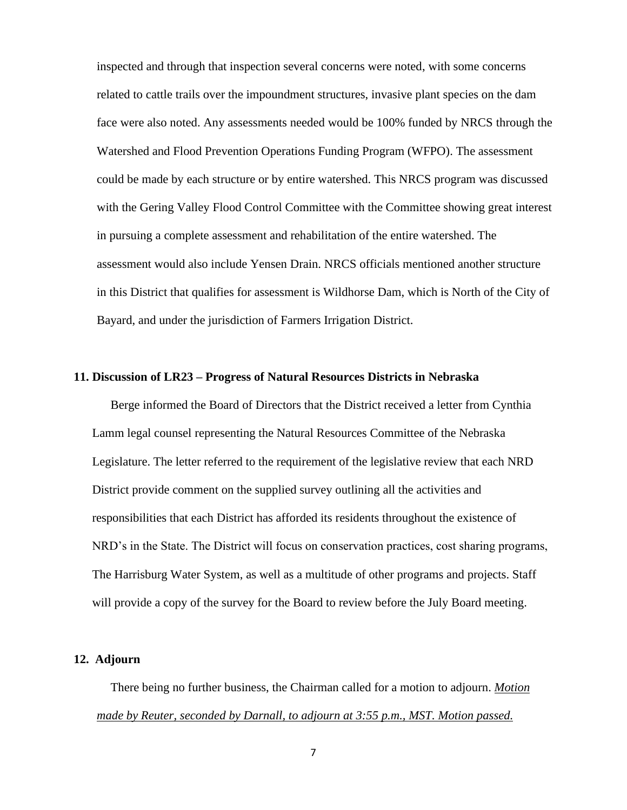inspected and through that inspection several concerns were noted, with some concerns related to cattle trails over the impoundment structures, invasive plant species on the dam face were also noted. Any assessments needed would be 100% funded by NRCS through the Watershed and Flood Prevention Operations Funding Program (WFPO). The assessment could be made by each structure or by entire watershed. This NRCS program was discussed with the Gering Valley Flood Control Committee with the Committee showing great interest in pursuing a complete assessment and rehabilitation of the entire watershed. The assessment would also include Yensen Drain. NRCS officials mentioned another structure in this District that qualifies for assessment is Wildhorse Dam, which is North of the City of Bayard, and under the jurisdiction of Farmers Irrigation District.

# **11. Discussion of LR23 – Progress of Natural Resources Districts in Nebraska**

Berge informed the Board of Directors that the District received a letter from Cynthia Lamm legal counsel representing the Natural Resources Committee of the Nebraska Legislature. The letter referred to the requirement of the legislative review that each NRD District provide comment on the supplied survey outlining all the activities and responsibilities that each District has afforded its residents throughout the existence of NRD's in the State. The District will focus on conservation practices, cost sharing programs, The Harrisburg Water System, as well as a multitude of other programs and projects. Staff will provide a copy of the survey for the Board to review before the July Board meeting.

### **12. Adjourn**

There being no further business, the Chairman called for a motion to adjourn. *Motion made by Reuter, seconded by Darnall, to adjourn at 3:55 p.m., MST. Motion passed.*

7